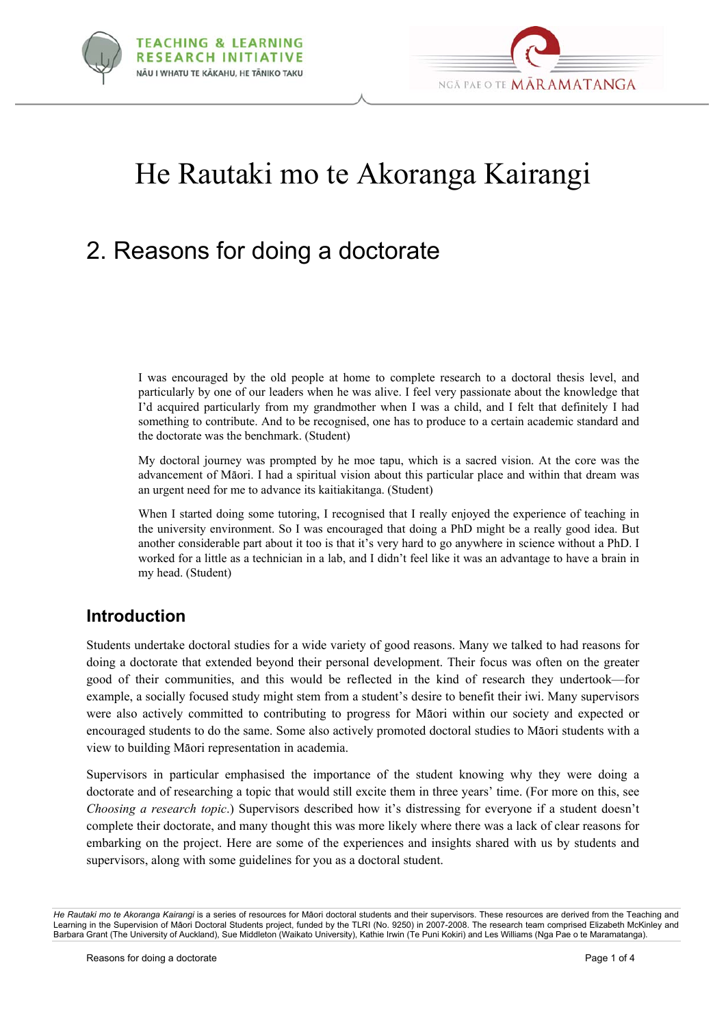



# He Rautaki mo te Akoranga Kairangi

## 2. Reasons for doing a doctorate

I was encouraged by the old people at home to complete research to a doctoral thesis level, and particularly by one of our leaders when he was alive. I feel very passionate about the knowledge that I'd acquired particularly from my grandmother when I was a child, and I felt that definitely I had something to contribute. And to be recognised, one has to produce to a certain academic standard and the doctorate was the benchmark. (Student)

My doctoral journey was prompted by he moe tapu, which is a sacred vision. At the core was the advancement of Mäori. I had a spiritual vision about this particular place and within that dream was an urgent need for me to advance its kaitiakitanga. (Student)

When I started doing some tutoring, I recognised that I really enjoyed the experience of teaching in the university environment. So I was encouraged that doing a PhD might be a really good idea. But another considerable part about it too is that it's very hard to go anywhere in science without a PhD. I worked for a little as a technician in a lab, and I didn't feel like it was an advantage to have a brain in my head. (Student)

#### **Introduction**

Students undertake doctoral studies for a wide variety of good reasons. Many we talked to had reasons for doing a doctorate that extended beyond their personal development. Their focus was often on the greater good of their communities, and this would be reflected in the kind of research they undertook—for example, a socially focused study might stem from a student's desire to benefit their iwi. Many supervisors were also actively committed to contributing to progress for Mäori within our society and expected or encouraged students to do the same. Some also actively promoted doctoral studies to Mäori students with a view to building Mäori representation in academia.

Supervisors in particular emphasised the importance of the student knowing why they were doing a doctorate and of researching a topic that would still excite them in three years' time. (For more on this, see *Choosing a research topic*.) Supervisors described how it's distressing for everyone if a student doesn't complete their doctorate, and many thought this was more likely where there was a lack of clear reasons for embarking on the project. Here are some of the experiences and insights shared with us by students and supervisors, along with some guidelines for you as a doctoral student.

*He Rautaki mo te Akoranga Kairangi* is a series of resources for Mäori doctoral students and their supervisors. These resources are derived from the Teaching and Learning in the Supervision of Mäori Doctoral Students project, funded by the TLRI (No. 9250) in 2007-2008. The research team comprised Elizabeth McKinley and Barbara Grant (The University of Auckland), Sue Middleton (Waikato University), Kathie Irwin (Te Puni Kokiri) and Les Williams (Nga Pae o te Maramatanga).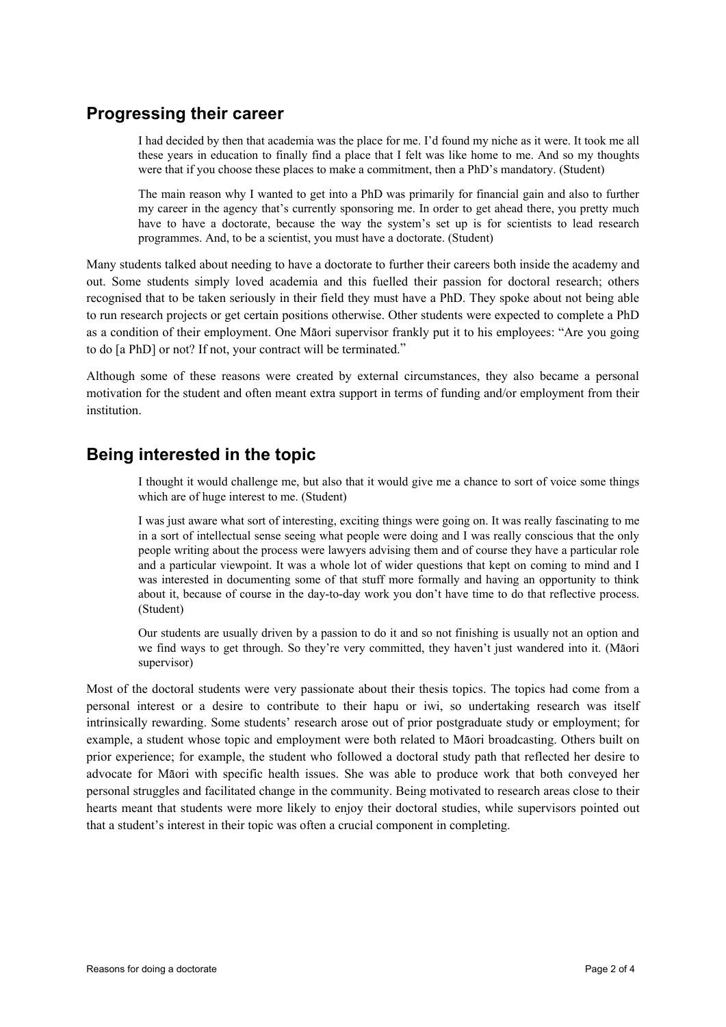#### **Progressing their career**

I had decided by then that academia was the place for me. I'd found my niche as it were. It took me all these years in education to finally find a place that I felt was like home to me. And so my thoughts were that if you choose these places to make a commitment, then a PhD's mandatory. (Student)

The main reason why I wanted to get into a PhD was primarily for financial gain and also to further my career in the agency that's currently sponsoring me. In order to get ahead there, you pretty much have to have a doctorate, because the way the system's set up is for scientists to lead research programmes. And, to be a scientist, you must have a doctorate. (Student)

Many students talked about needing to have a doctorate to further their careers both inside the academy and out. Some students simply loved academia and this fuelled their passion for doctoral research; others recognised that to be taken seriously in their field they must have a PhD. They spoke about not being able to run research projects or get certain positions otherwise. Other students were expected to complete a PhD as a condition of their employment. One Mäori supervisor frankly put it to his employees: "Are you going to do [a PhD] or not? If not, your contract will be terminated."

Although some of these reasons were created by external circumstances, they also became a personal motivation for the student and often meant extra support in terms of funding and/or employment from their institution.

#### **Being interested in the topic**

I thought it would challenge me, but also that it would give me a chance to sort of voice some things which are of huge interest to me. (Student)

I was just aware what sort of interesting, exciting things were going on. It was really fascinating to me in a sort of intellectual sense seeing what people were doing and I was really conscious that the only people writing about the process were lawyers advising them and of course they have a particular role and a particular viewpoint. It was a whole lot of wider questions that kept on coming to mind and I was interested in documenting some of that stuff more formally and having an opportunity to think about it, because of course in the day-to-day work you don't have time to do that reflective process. (Student)

Our students are usually driven by a passion to do it and so not finishing is usually not an option and we find ways to get through. So they're very committed, they haven't just wandered into it. (Mäori supervisor)

Most of the doctoral students were very passionate about their thesis topics. The topics had come from a personal interest or a desire to contribute to their hapu or iwi, so undertaking research was itself intrinsically rewarding. Some students' research arose out of prior postgraduate study or employment; for example, a student whose topic and employment were both related to Mäori broadcasting. Others built on prior experience; for example, the student who followed a doctoral study path that reflected her desire to advocate for Mäori with specific health issues. She was able to produce work that both conveyed her personal struggles and facilitated change in the community. Being motivated to research areas close to their hearts meant that students were more likely to enjoy their doctoral studies, while supervisors pointed out that a student's interest in their topic was often a crucial component in completing.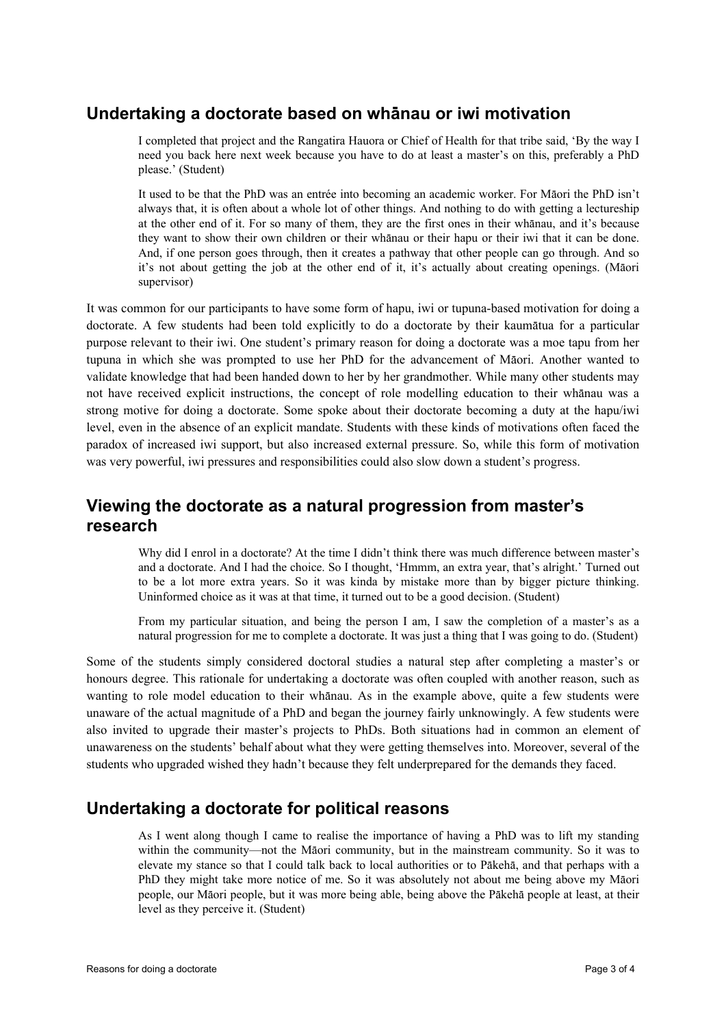#### **Undertaking a doctorate based on whänau or iwi motivation**

I completed that project and the Rangatira Hauora or Chief of Health for that tribe said, 'By the way I need you back here next week because you have to do at least a master's on this, preferably a PhD please.' (Student)

It used to be that the PhD was an entrée into becoming an academic worker. For Mäori the PhD isn't always that, it is often about a whole lot of other things. And nothing to do with getting a lectureship at the other end of it. For so many of them, they are the first ones in their whänau, and it's because they want to show their own children or their whänau or their hapu or their iwi that it can be done. And, if one person goes through, then it creates a pathway that other people can go through. And so it's not about getting the job at the other end of it, it's actually about creating openings. (Mäori supervisor)

It was common for our participants to have some form of hapu, iwi or tupuna-based motivation for doing a doctorate. A few students had been told explicitly to do a doctorate by their kaumätua for a particular purpose relevant to their iwi. One student's primary reason for doing a doctorate was a moe tapu from her tupuna in which she was prompted to use her PhD for the advancement of Mäori. Another wanted to validate knowledge that had been handed down to her by her grandmother. While many other students may not have received explicit instructions, the concept of role modelling education to their whänau was a strong motive for doing a doctorate. Some spoke about their doctorate becoming a duty at the hapu/iwi level, even in the absence of an explicit mandate. Students with these kinds of motivations often faced the paradox of increased iwi support, but also increased external pressure. So, while this form of motivation was very powerful, iwi pressures and responsibilities could also slow down a student's progress.

#### **Viewing the doctorate as a natural progression from master's research**

Why did I enrol in a doctorate? At the time I didn't think there was much difference between master's and a doctorate. And I had the choice. So I thought, 'Hmmm, an extra year, that's alright.' Turned out to be a lot more extra years. So it was kinda by mistake more than by bigger picture thinking. Uninformed choice as it was at that time, it turned out to be a good decision. (Student)

From my particular situation, and being the person I am, I saw the completion of a master's as a natural progression for me to complete a doctorate. It was just a thing that I was going to do. (Student)

Some of the students simply considered doctoral studies a natural step after completing a master's or honours degree. This rationale for undertaking a doctorate was often coupled with another reason, such as wanting to role model education to their whänau. As in the example above, quite a few students were unaware of the actual magnitude of a PhD and began the journey fairly unknowingly. A few students were also invited to upgrade their master's projects to PhDs. Both situations had in common an element of unawareness on the students' behalf about what they were getting themselves into. Moreover, several of the students who upgraded wished they hadn't because they felt underprepared for the demands they faced.

#### **Undertaking a doctorate for political reasons**

As I went along though I came to realise the importance of having a PhD was to lift my standing within the community—not the Mäori community, but in the mainstream community. So it was to elevate my stance so that I could talk back to local authorities or to Päkehä, and that perhaps with a PhD they might take more notice of me. So it was absolutely not about me being above my Mäori people, our Mäori people, but it was more being able, being above the Päkehä people at least, at their level as they perceive it. (Student)